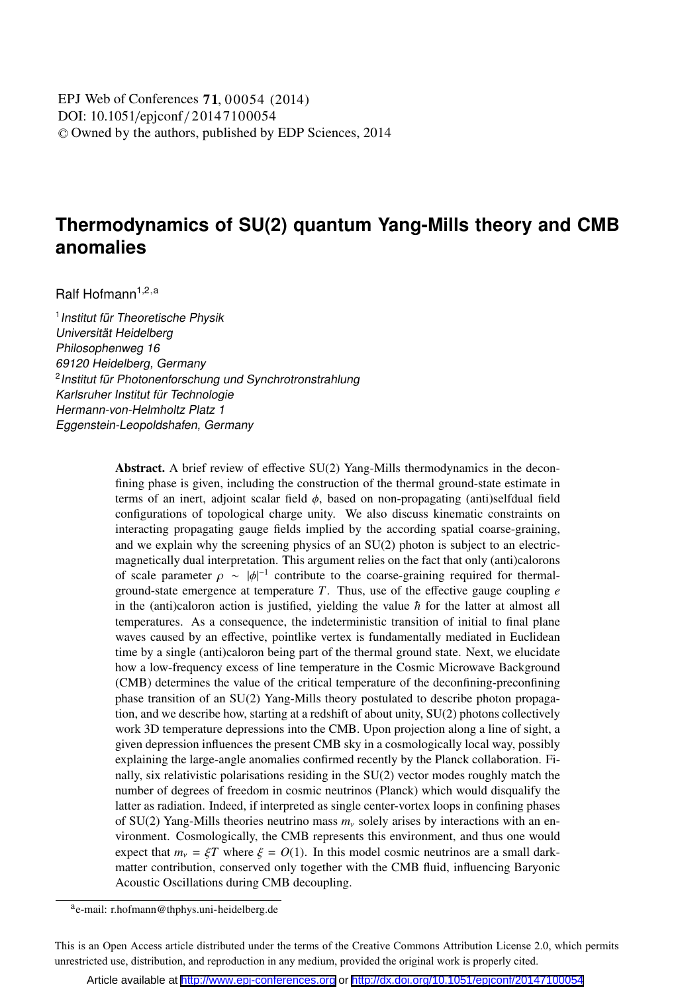DOI: 10.1051/epjconf / 20147100054 -<sup>C</sup> Owned by the authors, published by EDP Sciences, 2014 , 00054 (2014) EPJ Web of Conferences **71**

# **Thermodynamics of SU(2) quantum Yang-Mills theory and CMB anomalies**

Ralf Hofmann<sup>1,2,a</sup>

<sup>1</sup> Institut für Theoretische Physik Universität Heidelberg Philosophenweg 16 69120 Heidelberg, Germany <sup>2</sup> Institut für Photonenforschung und Synchrotronstrahlung Karlsruher Institut für Technologie Hermann-von-Helmholtz Platz 1 Eggenstein-Leopoldshafen, Germany

> Abstract. A brief review of effective SU(2) Yang-Mills thermodynamics in the deconfining phase is given, including the construction of the thermal ground-state estimate in terms of an inert, adjoint scalar field φ, based on non-propagating (anti)selfdual field configurations of topological charge unity. We also discuss kinematic constraints on interacting propagating gauge fields implied by the according spatial coarse-graining, and we explain why the screening physics of an SU(2) photon is subject to an electricmagnetically dual interpretation. This argument relies on the fact that only (anti)calorons of scale parameter  $\rho \sim |\phi|^{-1}$  contribute to the coarse-graining required for thermalground-state emergence at temperature *T*. Thus, use of the effective gauge coupling *e* in the (anti)caloron action is justified, yielding the value  $\hbar$  for the latter at almost all temperatures. As a consequence, the indeterministic transition of initial to final plane waves caused by an effective, pointlike vertex is fundamentally mediated in Euclidean time by a single (anti)caloron being part of the thermal ground state. Next, we elucidate how a low-frequency excess of line temperature in the Cosmic Microwave Background (CMB) determines the value of the critical temperature of the deconfining-preconfining phase transition of an SU(2) Yang-Mills theory postulated to describe photon propagation, and we describe how, starting at a redshift of about unity, SU(2) photons collectively work 3D temperature depressions into the CMB. Upon projection along a line of sight, a given depression influences the present CMB sky in a cosmologically local way, possibly explaining the large-angle anomalies confirmed recently by the Planck collaboration. Finally, six relativistic polarisations residing in the SU(2) vector modes roughly match the number of degrees of freedom in cosmic neutrinos (Planck) which would disqualify the latter as radiation. Indeed, if interpreted as single center-vortex loops in confining phases of SU(2) Yang-Mills theories neutrino mass  $m<sub>v</sub>$  solely arises by interactions with an environment. Cosmologically, the CMB represents this environment, and thus one would expect that  $m_v = \xi T$  where  $\xi = O(1)$ . In this model cosmic neutrinos are a small darkmatter contribution, conserved only together with the CMB fluid, influencing Baryonic Acoustic Oscillations during CMB decoupling.

ae-mail: r.hofmann@thphys.uni-heidelberg.de

This is an Open Access article distributed under the terms of the Creative Commons Attribution License 2.0, which permits unrestricted use, distribution, and reproduction in any medium, provided the original work is properly cited.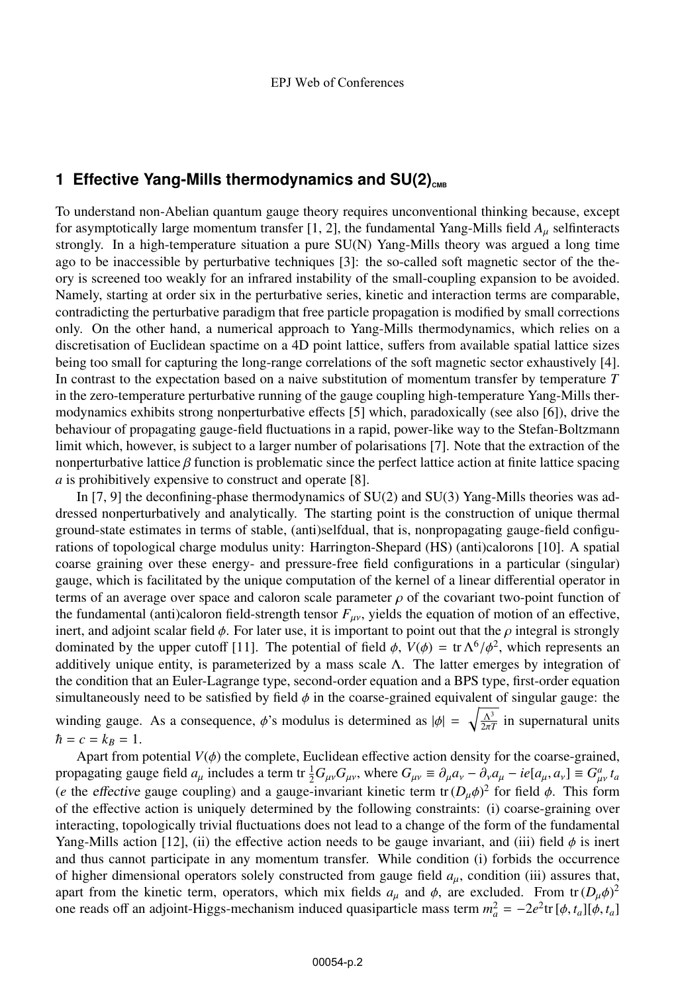# **1 Effective Yang-Mills thermodynamics and SU(2)**<sub>cMB</sub>

To understand non-Abelian quantum gauge theory requires unconventional thinking because, except for asymptotically large momentum transfer [1, 2], the fundamental Yang-Mills field *A*<sup>μ</sup> selfinteracts strongly. In a high-temperature situation a pure SU(N) Yang-Mills theory was argued a long time ago to be inaccessible by perturbative techniques [3]: the so-called soft magnetic sector of the theory is screened too weakly for an infrared instability of the small-coupling expansion to be avoided. Namely, starting at order six in the perturbative series, kinetic and interaction terms are comparable, contradicting the perturbative paradigm that free particle propagation is modified by small corrections only. On the other hand, a numerical approach to Yang-Mills thermodynamics, which relies on a discretisation of Euclidean spactime on a 4D point lattice, suffers from available spatial lattice sizes being too small for capturing the long-range correlations of the soft magnetic sector exhaustively [4]. In contrast to the expectation based on a naive substitution of momentum transfer by temperature *T* in the zero-temperature perturbative running of the gauge coupling high-temperature Yang-Mills thermodynamics exhibits strong nonperturbative effects [5] which, paradoxically (see also [6]), drive the behaviour of propagating gauge-field fluctuations in a rapid, power-like way to the Stefan-Boltzmann limit which, however, is subject to a larger number of polarisations [7]. Note that the extraction of the nonperturbative lattice  $\beta$  function is problematic since the perfect lattice action at finite lattice spacing *a* is prohibitively expensive to construct and operate [8].

In [7, 9] the deconfining-phase thermodynamics of SU(2) and SU(3) Yang-Mills theories was addressed nonperturbatively and analytically. The starting point is the construction of unique thermal ground-state estimates in terms of stable, (anti)selfdual, that is, nonpropagating gauge-field configurations of topological charge modulus unity: Harrington-Shepard (HS) (anti)calorons [10]. A spatial coarse graining over these energy- and pressure-free field configurations in a particular (singular) gauge, which is facilitated by the unique computation of the kernel of a linear differential operator in terms of an average over space and caloron scale parameter  $\rho$  of the covariant two-point function of the fundamental (anti)caloron field-strength tensor  $F_{\mu\nu}$ , yields the equation of motion of an effective, inert, and adjoint scalar field  $\phi$ . For later use, it is important to point out that the  $\rho$  integral is strongly dominated by the upper cutoff [11]. The potential of field  $\phi$ ,  $V(\phi) = \text{tr } \Lambda^6/\phi^2$ , which represents an additively unique entity, is parameterized by a mass scale  $\Lambda$ . The latter emerges by integration of the condition that an Euler-Lagrange type, second-order equation and a BPS type, first-order equation simultaneously need to be satisfied by field  $\phi$  in the coarse-grained equivalent of singular gauge: the winding gauge. As a consequence,  $\phi$ 's modulus is determined as  $|\phi| = \sqrt{\frac{\Lambda^3}{2\pi T}}$  in supernatural units  $\hbar = c = k_B = 1.$ 

Apart from potential  $V(\phi)$  the complete, Euclidean effective action density for the coarse-grained, propagating gauge field  $a_\mu$  includes a term tr  $\frac{1}{2}G_{\mu\nu}G_{\mu\nu}$ , where  $G_{\mu\nu} \equiv \partial_\mu a_\nu - \partial_\nu a_\mu - ie[a_\mu, a_\nu] \equiv G_{\mu\nu}^a t_a$ (*e* the effective gauge coupling) and a gauge-invariant kinetic term tr  $(D_\mu \phi)^2$  for field  $\phi$ . This form of the effective action is uniquely determined by the following constraints: (i) coarse-graining over interacting, topologically trivial fluctuations does not lead to a change of the form of the fundamental Yang-Mills action [12], (ii) the effective action needs to be gauge invariant, and (iii) field  $\phi$  is inert and thus cannot participate in any momentum transfer. While condition (i) forbids the occurrence of higher dimensional operators solely constructed from gauge field *a*μ, condition (iii) assures that, apart from the kinetic term, operators, which mix fields  $a_{\mu}$  and  $\phi$ , are excluded. From tr  $(D_{\mu}\phi)^2$ one reads off an adjoint-Higgs-mechanism induced quasiparticle mass term  $m_a^2 = -2e^2$ tr  $[\phi, t_a][\phi, t_a]$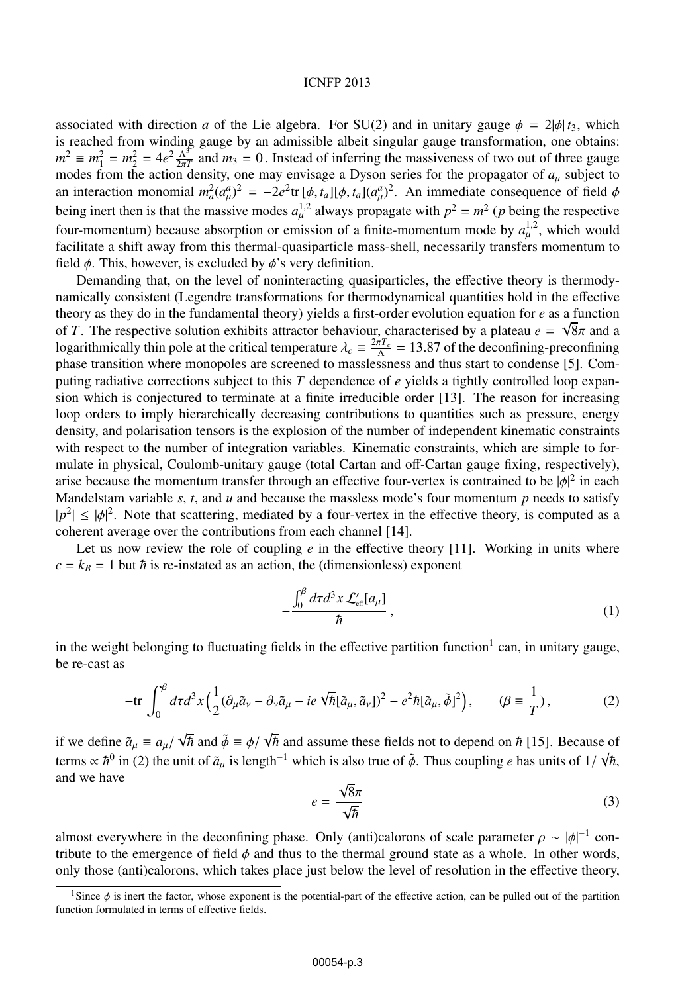#### ICNFP 2013

associated with direction *a* of the Lie algebra. For SU(2) and in unitary gauge  $\phi = 2|\phi| t_3$ , which is reached from winding gauge by an admissible albeit singular gauge transformation, one obtains:  $m^2 \equiv m_1^2 = m_2^2 = 4e^2 \frac{\Lambda^3}{2\pi T}$  and  $m_3 = 0$ . Instead of inferring the massiveness of two out of three gauge modes from the action density, one may envisage a Dyson series for the propagator of  $a_{\mu}$  subject to an interaction monomial  $m_a^2(a_\mu^a)^2 = -2e^2 \text{tr}[\phi, t_a][\phi, t_a](a_\mu^a)^2$ . An immediate consequence of field  $\phi$ being inert then is that the massive modes  $a_{\mu}^{1,2}$  always propagate with  $p^2 = m^2$  (*p* being the respective four-momentum) because absorption or emission of a finite-momentum mode by  $a_{\mu}^{1,2}$ , which would facilitate a shift away from this thermal-quasiparticle mass-shell, necessarily transfers momentum to field  $\phi$ . This, however, is excluded by  $\phi$ 's very definition.

Demanding that, on the level of noninteracting quasiparticles, the effective theory is thermodynamically consistent (Legendre transformations for thermodynamical quantities hold in the effective theory as they do in the fundamental theory) yields a first-order evolution equation for *e* as a function of *T*. The respective solution exhibits attractor behaviour, characterised by a plateau  $e = \sqrt{8\pi}$  and a logarithmically thin pole at the critical temperature  $\lambda_c = \frac{2\pi T_c}{\Lambda} = 13.87$  of the deconfining-preconfining phase transition where monopoles are screened to masslessness and thus start to condense [5]. Computing radiative corrections subject to this *T* dependence of *e* yields a tightly controlled loop expansion which is conjectured to terminate at a finite irreducible order [13]. The reason for increasing loop orders to imply hierarchically decreasing contributions to quantities such as pressure, energy density, and polarisation tensors is the explosion of the number of independent kinematic constraints with respect to the number of integration variables. Kinematic constraints, which are simple to formulate in physical, Coulomb-unitary gauge (total Cartan and off-Cartan gauge fixing, respectively), arise because the momentum transfer through an effective four-vertex is contrained to be  $|\phi|^2$  in each Mandelstam variable  $s$ ,  $t$ , and  $u$  and because the massless mode's four momentum  $p$  needs to satisfy  $|p^2| \le |\phi|^2$ . Note that scattering, mediated by a four-vertex in the effective theory, is computed as a coherent average over the contributions from each channel [14].

Let us now review the role of coupling *e* in the effective theory [11]. Working in units where  $c = k_B = 1$  but  $\hbar$  is re-instated as an action, the (dimensionless) exponent

$$
-\frac{\int_0^\beta d\tau d^3x \mathcal{L}'_{\text{eff}}[a_\mu]}{\hbar},\tag{1}
$$

in the weight belonging to fluctuating fields in the effective partition function<sup>1</sup> can, in unitary gauge, be re-cast as

$$
-\text{tr}\int_0^\beta d\tau d^3x \Big(\frac{1}{2}(\partial_\mu \tilde{a}_\nu - \partial_\nu \tilde{a}_\mu - ie\sqrt{\hbar}[\tilde{a}_\mu, \tilde{a}_\nu])^2 - e^2 \hbar[\tilde{a}_\mu, \tilde{\phi}]^2\Big), \qquad (\beta \equiv \frac{1}{T}),\tag{2}
$$

if we define  $\tilde{a}_{\mu} \equiv a_{\mu}/\sqrt{\hbar}$  and  $\tilde{\phi} \equiv \phi/\sqrt{\hbar}$  and assume these fields not to depend on  $\hbar$  [15]. Because of terms  $\propto \hbar^0$  in (2) the unit of  $\tilde{a}_\mu$  is length<sup>-1</sup> which is also true of  $\tilde{\phi}$ . Thus coupling *e* has units of  $1/\sqrt{\hbar}$ , and we have

$$
e = \frac{\sqrt{8}\pi}{\sqrt{\hbar}}\tag{3}
$$

almost everywhere in the deconfining phase. Only (anti)calorons of scale parameter  $\rho \sim |\phi|^{-1}$  contribute to the emergence of field  $\phi$  and thus to the thermal ground state as a whole. In other words, only those (anti)calorons, which takes place just below the level of resolution in the effective theory,

<sup>&</sup>lt;sup>1</sup>Since  $\phi$  is inert the factor, whose exponent is the potential-part of the effective action, can be pulled out of the partition function formulated in terms of effective fields.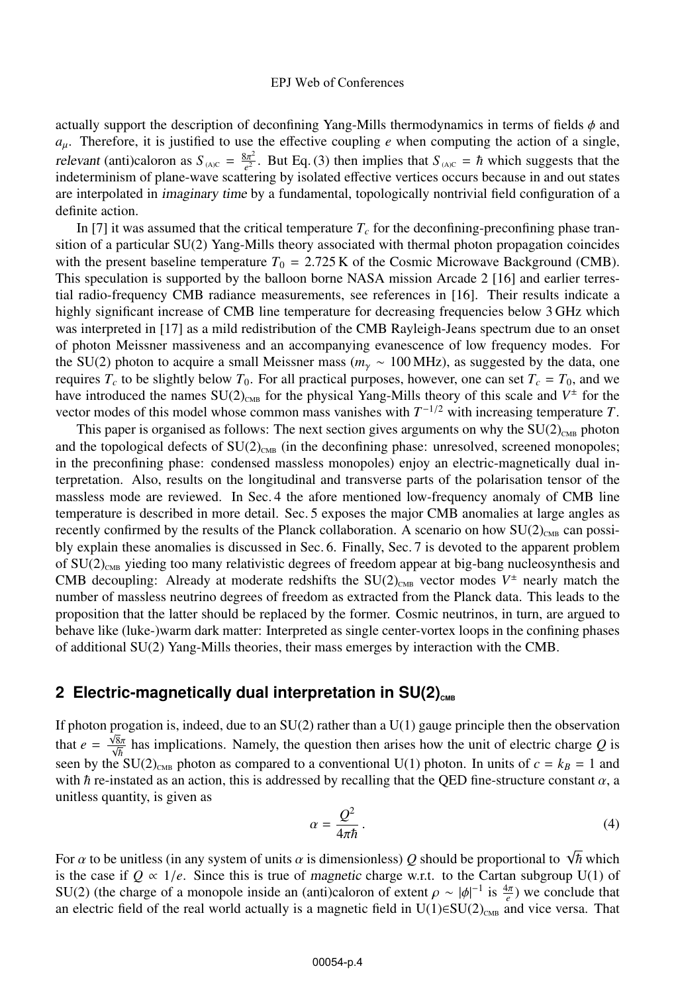actually support the description of deconfining Yang-Mills thermodynamics in terms of fields  $\phi$  and  $a_{\mu}$ . Therefore, it is justified to use the effective coupling *e* when computing the action of a single, relevant (anti)caloron as  $S_{(A)C} = \frac{8\pi^2}{e^2}$ . But Eq. (3) then implies that  $S_{(A)C} = \hbar$  which suggests that the indeterminism of plane-wave scattering by isolated effective vertices occurs because in and out states are interpolated in imaginary time by a fundamental, topologically nontrivial field configuration of a definite action.

In [7] it was assumed that the critical temperature  $T_c$  for the deconfining-preconfining phase transition of a particular SU(2) Yang-Mills theory associated with thermal photon propagation coincides with the present baseline temperature  $T_0 = 2.725$  K of the Cosmic Microwave Background (CMB). This speculation is supported by the balloon borne NASA mission Arcade 2 [16] and earlier terrestial radio-frequency CMB radiance measurements, see references in [16]. Their results indicate a highly significant increase of CMB line temperature for decreasing frequencies below 3 GHz which was interpreted in [17] as a mild redistribution of the CMB Rayleigh-Jeans spectrum due to an onset of photon Meissner massiveness and an accompanying evanescence of low frequency modes. For the SU(2) photon to acquire a small Meissner mass (*m*<sup>γ</sup> ∼ 100 MHz), as suggested by the data, one requires  $T_c$  to be slightly below  $T_0$ . For all practical purposes, however, one can set  $T_c = T_0$ , and we have introduced the names  $SU(2)_{CMB}$  for the physical Yang-Mills theory of this scale and  $V^{\pm}$  for the vector modes of this model whose common mass vanishes with  $T^{-1/2}$  with increasing temperature *T*.

This paper is organised as follows: The next section gives arguments on why the  $SU(2)_{CMB}$  photon and the topological defects of  $SU(2)_{\text{CMB}}$  (in the deconfining phase: unresolved, screened monopoles; in the preconfining phase: condensed massless monopoles) enjoy an electric-magnetically dual interpretation. Also, results on the longitudinal and transverse parts of the polarisation tensor of the massless mode are reviewed. In Sec. 4 the afore mentioned low-frequency anomaly of CMB line temperature is described in more detail. Sec. 5 exposes the major CMB anomalies at large angles as recently confirmed by the results of the Planck collaboration. A scenario on how  $SU(2)_{CMB}$  can possibly explain these anomalies is discussed in Sec. 6. Finally, Sec. 7 is devoted to the apparent problem of  $SU(2)_{\text{CMB}}$  yieding too many relativistic degrees of freedom appear at big-bang nucleosynthesis and CMB decoupling: Already at moderate redshifts the  $SU(2)_{CMB}$  vector modes  $V^{\pm}$  nearly match the number of massless neutrino degrees of freedom as extracted from the Planck data. This leads to the proposition that the latter should be replaced by the former. Cosmic neutrinos, in turn, are argued to behave like (luke-)warm dark matter: Interpreted as single center-vortex loops in the confining phases of additional SU(2) Yang-Mills theories, their mass emerges by interaction with the CMB.

### 2 Electric-magnetically dual interpretation in SU(2)<sub>CMB</sub>

If photon progation is, indeed, due to an  $SU(2)$  rather than a  $U(1)$  gauge principle then the observation that  $e = \frac{\sqrt{8}\pi}{\sqrt{\hbar}}$  has implications. Namely, the question then arises how the unit of electric charge *Q* is seen by the SU(2)<sub>CMB</sub> photon as compared to a conventional U(1) photon. In units of  $c = k_B = 1$  and with  $\hbar$  re-instated as an action, this is addressed by recalling that the QED fine-structure constant  $\alpha$ , a unitless quantity, is given as

$$
\alpha = \frac{Q^2}{4\pi\hbar} \,. \tag{4}
$$

For  $\alpha$  to be unitless (in any system of units  $\alpha$  is dimensionless)  $Q$  should be proportional to  $\sqrt{\hbar}$  which is the case if  $Q \propto 1/e$ . Since this is true of *magnetic* charge w.r.t. to the Cartan subgroup U(1) of SU(2) (the charge of a monopole inside an (anti)caloron of extent  $\rho \sim |\phi|^{-1}$  is  $\frac{4\pi}{e}$ ) we conclude that an electric field of the real world actually is a magnetic field in  $U(1) \in SU(2)_{\text{CMB}}$  and vice versa. That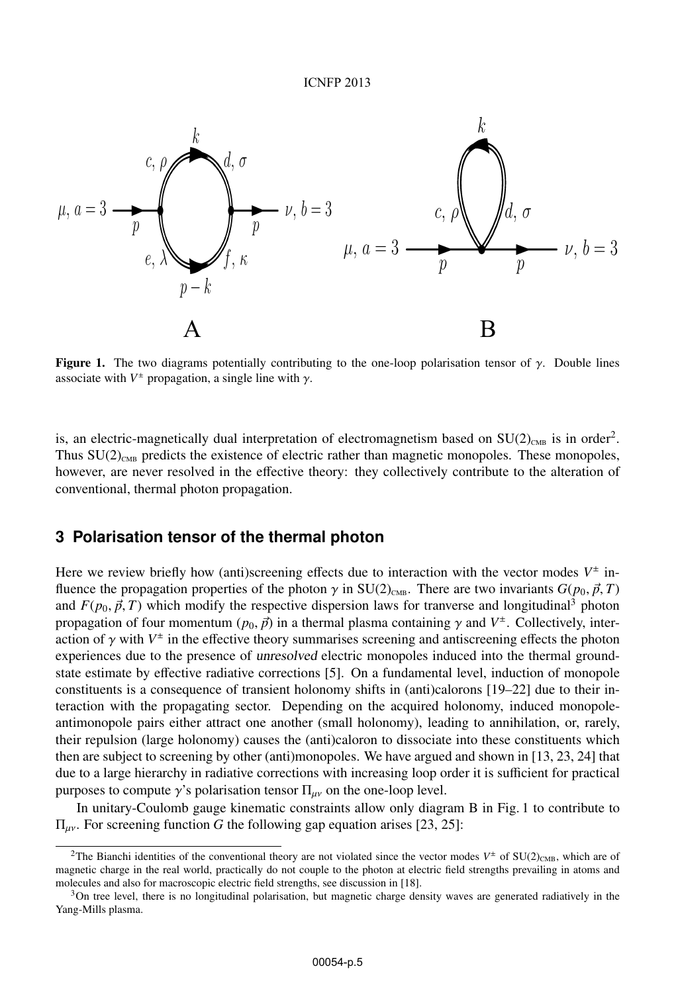

**Figure 1.** The two diagrams potentially contributing to the one-loop polarisation tensor of  $\gamma$ . Double lines associate with  $V^{\pm}$  propagation, a single line with  $\gamma$ .

is, an electric-magnetically dual interpretation of electromagnetism based on  $SU(2)_{CMB}$  is in order<sup>2</sup>. Thus  $SU(2)_{CMB}$  predicts the existence of electric rather than magnetic monopoles. These monopoles, however, are never resolved in the effective theory: they collectively contribute to the alteration of conventional, thermal photon propagation.

### **3 Polarisation tensor of the thermal photon**

Here we review briefly how (anti)screening effects due to interaction with the vector modes  $V^{\pm}$  influence the propagation properties of the photon  $\gamma$  in SU(2)<sub>CMB</sub>. There are two invariants  $G(p_0, \vec{p}, T)$ and  $F(p_0, \vec{p}, T)$  which modify the respective dispersion laws for tranverse and longitudinal<sup>3</sup> photon propagation of four momentum  $(p_0, \vec{p})$  in a thermal plasma containing  $\gamma$  and  $V^{\pm}$ . Collectively, interaction of  $\gamma$  with  $V^{\pm}$  in the effective theory summarises screening and antiscreening effects the photon experiences due to the presence of unresolved electric monopoles induced into the thermal groundstate estimate by effective radiative corrections [5]. On a fundamental level, induction of monopole constituents is a consequence of transient holonomy shifts in (anti)calorons [19–22] due to their interaction with the propagating sector. Depending on the acquired holonomy, induced monopoleantimonopole pairs either attract one another (small holonomy), leading to annihilation, or, rarely, their repulsion (large holonomy) causes the (anti)caloron to dissociate into these constituents which then are subject to screening by other (anti)monopoles. We have argued and shown in [13, 23, 24] that due to a large hierarchy in radiative corrections with increasing loop order it is sufficient for practical purposes to compute  $\gamma$ 's polarisation tensor  $\Pi_{\mu\nu}$  on the one-loop level.

In unitary-Coulomb gauge kinematic constraints allow only diagram B in Fig. 1 to contribute to Πμν. For screening function *G* the following gap equation arises [23, 25]:

<sup>&</sup>lt;sup>2</sup>The Bianchi identities of the conventional theory are not violated since the vector modes  $V^{\pm}$  of SU(2)<sub>CMB</sub>, which are of magnetic charge in the real world, practically do not couple to the photon at electric field strengths prevailing in atoms and molecules and also for macroscopic electric field strengths, see discussion in [18].

 $3$ On tree level, there is no longitudinal polarisation, but magnetic charge density waves are generated radiatively in the Yang-Mills plasma.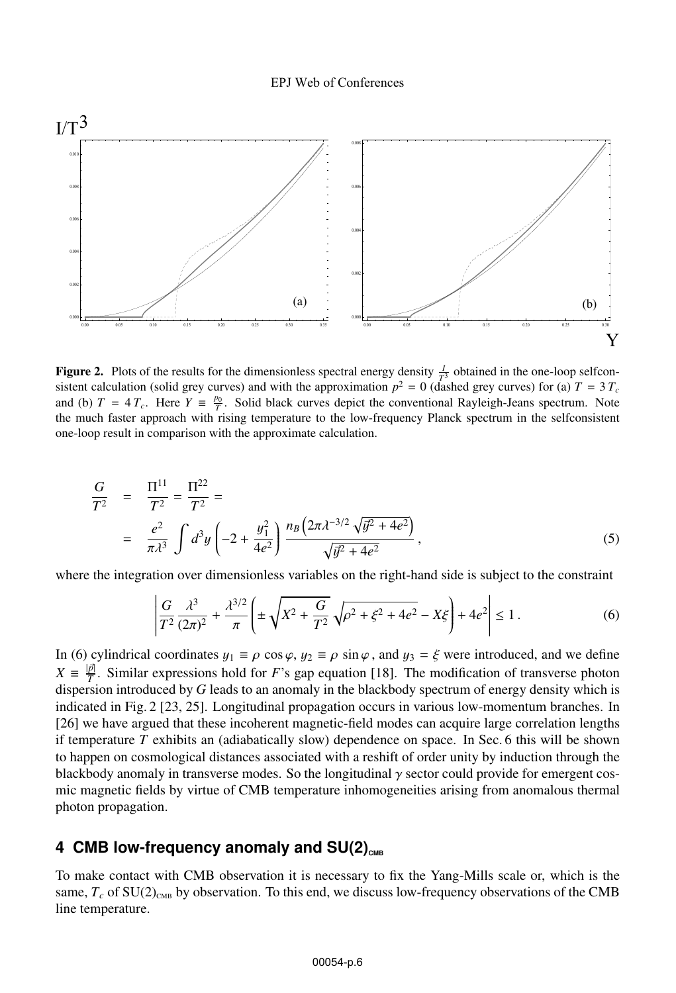

**Figure 2.** Plots of the results for the dimensionless spectral energy density  $\frac{1}{T^3}$  obtained in the one-loop selfcon-<br>sistent calculation (solid grey curves) and with the approximation  $n^2 = 0$  (dashed grey curves) sistent calculation (solid grey curves) and with the approximation  $p^2 = 0$  (dashed grey curves) for (a)  $T = 3 T_c$ and (b)  $T = 4 T_c$ . Here  $Y = \frac{p_0}{T}$ . Solid black curves depict the conventional Rayleigh-Jeans spectrum. Note the much faster approach with rising temperature to the low-frequency Planck spectrum in the selfconsistent one-loop result in comparison with the approximate calculation.

$$
\frac{G}{T^2} = \frac{\Pi^{11}}{T^2} = \frac{\Pi^{22}}{T^2} =
$$
\n
$$
= \frac{e^2}{\pi \lambda^3} \int d^3 y \left( -2 + \frac{y_1^2}{4e^2} \right) \frac{n_B \left( 2\pi \lambda^{-3/2} \sqrt{y^2 + 4e^2} \right)}{\sqrt{y^2 + 4e^2}},
$$
\n(5)

where the integration over dimensionless variables on the right-hand side is subject to the constraint

$$
\left| \frac{G}{T^2} \frac{\lambda^3}{(2\pi)^2} + \frac{\lambda^{3/2}}{\pi} \left( \pm \sqrt{X^2 + \frac{G}{T^2}} \sqrt{\rho^2 + \xi^2 + 4e^2} - X\xi \right) + 4e^2 \right| \le 1.
$$
 (6)

In (6) cylindrical coordinates  $y_1 \equiv \rho \cos \varphi$ ,  $y_2 \equiv \rho \sin \varphi$ , and  $y_3 = \xi$  were introduced, and we define  $X = \frac{|\vec{p}|}{T}$ . Similar expressions hold for *F*'s gap equation [18]. The modification of transverse photon dispersion introduced by *G* leads to an anomaly in the blackbody spectrum of energy density which is indicated in Fig. 2 [23, 25]. Longitudinal propagation occurs in various low-momentum branches. In [26] we have argued that these incoherent magnetic-field modes can acquire large correlation lengths if temperature *T* exhibits an (adiabatically slow) dependence on space. In Sec. 6 this will be shown to happen on cosmological distances associated with a reshift of order unity by induction through the blackbody anomaly in transverse modes. So the longitudinal  $\gamma$  sector could provide for emergent cosmic magnetic fields by virtue of CMB temperature inhomogeneities arising from anomalous thermal photon propagation.

# 4 CMB low-frequency anomaly and SU(2)<sub>CMB</sub>

To make contact with CMB observation it is necessary to fix the Yang-Mills scale or, which is the same,  $T_c$  of  $SU(2)_{CMB}$  by observation. To this end, we discuss low-frequency observations of the CMB line temperature.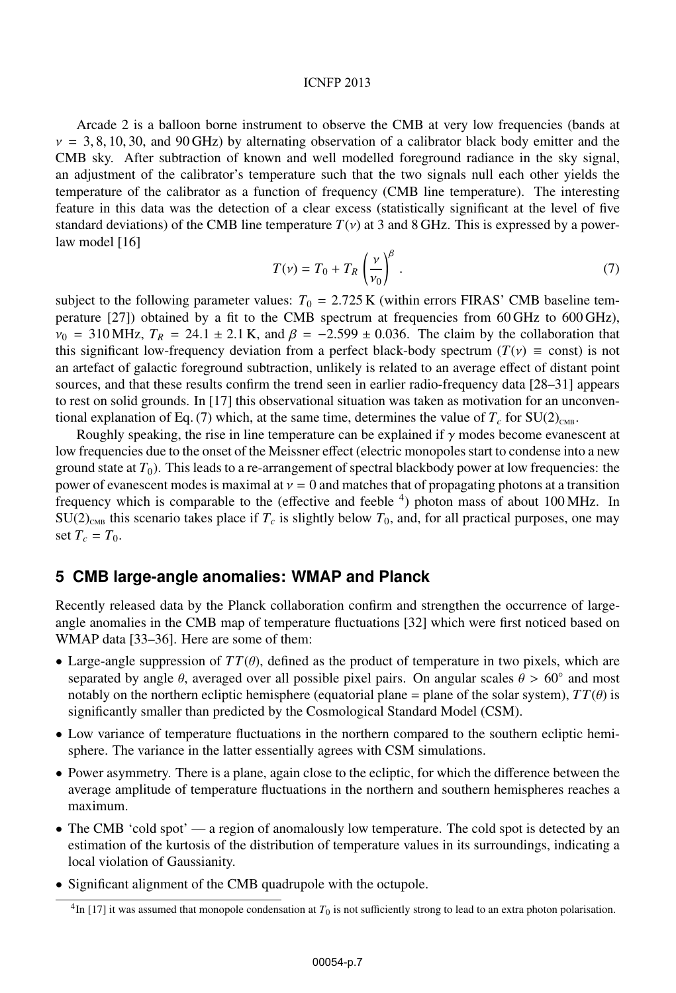#### ICNFP 2013

Arcade 2 is a balloon borne instrument to observe the CMB at very low frequencies (bands at  $v = 3, 8, 10, 30,$  and 90 GHz) by alternating observation of a calibrator black body emitter and the CMB sky. After subtraction of known and well modelled foreground radiance in the sky signal, an adjustment of the calibrator's temperature such that the two signals null each other yields the temperature of the calibrator as a function of frequency (CMB line temperature). The interesting feature in this data was the detection of a clear excess (statistically significant at the level of five standard deviations) of the CMB line temperature  $T(v)$  at 3 and 8 GHz. This is expressed by a powerlaw model [16]

$$
T(v) = T_0 + T_R \left(\frac{v}{v_0}\right)^{\beta} \tag{7}
$$

subject to the following parameter values:  $T_0 = 2.725 \text{ K}$  (within errors FIRAS' CMB baseline temperature [27]) obtained by a fit to the CMB spectrum at frequencies from 60 GHz to 600 GHz),  $v_0$  = 310 MHz,  $T_R$  = 24.1 ± 2.1 K, and  $\beta$  = -2.599 ± 0.036. The claim by the collaboration that this significant low-frequency deviation from a perfect black-body spectrum ( $T(v) \equiv$  const) is not an artefact of galactic foreground subtraction, unlikely is related to an average effect of distant point sources, and that these results confirm the trend seen in earlier radio-frequency data [28–31] appears to rest on solid grounds. In [17] this observational situation was taken as motivation for an unconventional explanation of Eq. (7) which, at the same time, determines the value of  $T_c$  for  $SU(2)_{CMB}$ .

Roughly speaking, the rise in line temperature can be explained if  $\gamma$  modes become evanescent at low frequencies due to the onset of the Meissner effect (electric monopoles start to condense into a new ground state at  $T_0$ ). This leads to a re-arrangement of spectral blackbody power at low frequencies: the power of evanescent modes is maximal at  $v = 0$  and matches that of propagating photons at a transition frequency which is comparable to the (effective and feeble 4) photon mass of about 100 MHz. In  $SU(2)_{CMB}$  this scenario takes place if  $T_c$  is slightly below  $T_0$ , and, for all practical purposes, one may set  $T_c = T_0$ .

### **5 CMB large-angle anomalies: WMAP and Planck**

Recently released data by the Planck collaboration confirm and strengthen the occurrence of largeangle anomalies in the CMB map of temperature fluctuations [32] which were first noticed based on WMAP data [33–36]. Here are some of them:

- Large-angle suppression of  $TT(\theta)$ , defined as the product of temperature in two pixels, which are separated by angle  $\theta$ , averaged over all possible pixel pairs. On angular scales  $\theta > 60°$  and most notably on the northern ecliptic hemisphere (equatorial plane = plane of the solar system),  $TT(\theta)$  is significantly smaller than predicted by the Cosmological Standard Model (CSM).
- Low variance of temperature fluctuations in the northern compared to the southern ecliptic hemisphere. The variance in the latter essentially agrees with CSM simulations.
- Power asymmetry. There is a plane, again close to the ecliptic, for which the difference between the average amplitude of temperature fluctuations in the northern and southern hemispheres reaches a maximum.
- The CMB 'cold spot' a region of anomalously low temperature. The cold spot is detected by an estimation of the kurtosis of the distribution of temperature values in its surroundings, indicating a local violation of Gaussianity.
- Significant alignment of the CMB quadrupole with the octupole.

<sup>&</sup>lt;sup>4</sup>In [17] it was assumed that monopole condensation at *T*<sub>0</sub> is not sufficiently strong to lead to an extra photon polarisation.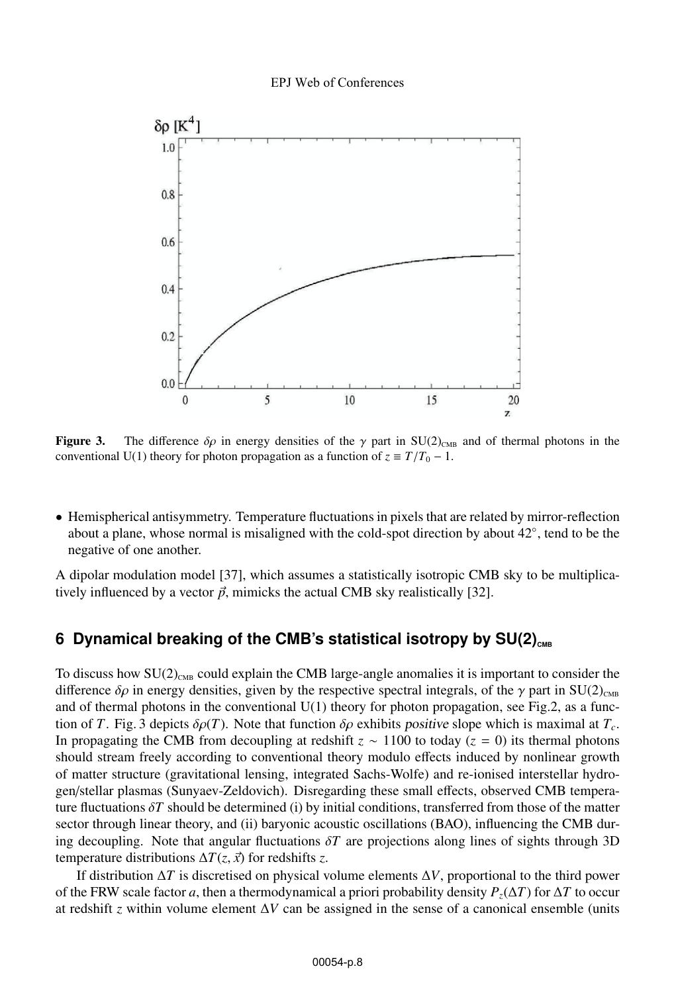

**Figure 3.** The difference  $\delta \rho$  in energy densities of the  $\gamma$  part in SU(2)<sub>CMB</sub> and of thermal photons in the conventional U(1) theory for photon propagation as a function of  $z \equiv T/T_0 - 1$ .

• Hemispherical antisymmetry. Temperature fluctuations in pixels that are related by mirror-reflection about a plane, whose normal is misaligned with the cold-spot direction by about  $42°$ , tend to be the negative of one another.

A dipolar modulation model [37], which assumes a statistically isotropic CMB sky to be multiplicatively influenced by a vector  $\vec{p}$ , mimicks the actual CMB sky realistically [32].

# **6 Dynamical breaking of the CMB's statistical isotropy by SU(2)<sub>CMB</sub>**

To discuss how  $SU(2)_{\text{CMB}}$  could explain the CMB large-angle anomalies it is important to consider the difference  $\delta \rho$  in energy densities, given by the respective spectral integrals, of the  $\gamma$  part in SU(2)<sub>CMB</sub> and of thermal photons in the conventional  $U(1)$  theory for photon propagation, see Fig.2, as a function of *T*. Fig. 3 depicts  $\delta \rho(T)$ . Note that function  $\delta \rho$  exhibits positive slope which is maximal at  $T_c$ . In propagating the CMB from decoupling at redshift  $z \sim 1100$  to today ( $z = 0$ ) its thermal photons should stream freely according to conventional theory modulo effects induced by nonlinear growth of matter structure (gravitational lensing, integrated Sachs-Wolfe) and re-ionised interstellar hydrogen/stellar plasmas (Sunyaev-Zeldovich). Disregarding these small effects, observed CMB temperature fluctuations  $\delta T$  should be determined (i) by initial conditions, transferred from those of the matter sector through linear theory, and (ii) baryonic acoustic oscillations (BAO), influencing the CMB during decoupling. Note that angular fluctuations δ*T* are projections along lines of sights through 3D temperature distributions  $\Delta T(z, \vec{x})$  for redshifts *z*.

If distribution Δ*T* is discretised on physical volume elements Δ*V*, proportional to the third power of the FRW scale factor *a*, then a thermodynamical a priori probability density  $P_z(\Delta T)$  for  $\Delta T$  to occur at redshift *z* within volume element Δ*V* can be assigned in the sense of a canonical ensemble (units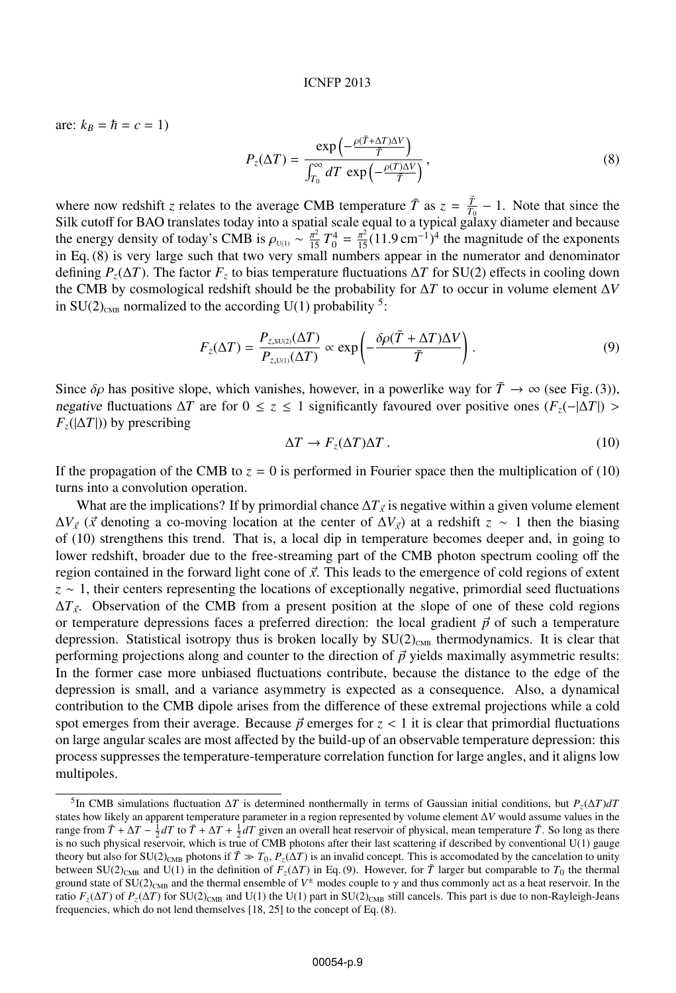are:  $k_B = \hbar = c = 1$ 

$$
P_z(\Delta T) = \frac{\exp\left(-\frac{\rho(\bar{T} + \Delta T)\Delta V}{\bar{T}}\right)}{\int_{T_0}^{\infty} dT \, \exp\left(-\frac{\rho(T)\Delta V}{\bar{T}}\right)},\tag{8}
$$

where now redshift *z* relates to the average CMB temperature  $\overline{T}$  as  $z = \frac{\overline{T}}{T_0} - 1$ . Note that since the Silk cutoff for BAO translates today into a spatial scale equal to a typical galaxy diameter and because the energy density of today's CMB is  $\rho_{U(1)} \sim \frac{\pi^2}{15} T_0^4 = \frac{\pi^2}{15} (11.9 \text{ cm}^{-1})^4$  the magnitude of the exponents in Eq. (8) is very large such that two very small numbers appear in the numerator and denominator defining  $P_z(\Delta T)$ . The factor  $F_z$  to bias temperature fluctuations  $\Delta T$  for SU(2) effects in cooling down the CMB by cosmological redshift should be the probability for Δ*T* to occur in volume element Δ*V* in  $SU(2)_{CMB}$  normalized to the according U(1) probability <sup>5</sup>:

$$
F_z(\Delta T) = \frac{P_{z, SU(2)}(\Delta T)}{P_{z, U(1)}(\Delta T)} \propto \exp\left(-\frac{\delta \rho (\bar{T} + \Delta T) \Delta V}{\bar{T}}\right).
$$
\n(9)

Since  $\delta \rho$  has positive slope, which vanishes, however, in a powerlike way for  $\overline{T} \to \infty$  (see Fig. (3)), negative fluctuations  $\Delta T$  are for  $0 \le z \le 1$  significantly favoured over positive ones  $(F_z(-|\Delta T|) >$  $F_z(|\Delta T|)$ ) by prescribing

$$
\Delta T \to F_z(\Delta T) \Delta T \,. \tag{10}
$$

If the propagation of the CMB to  $z = 0$  is performed in Fourier space then the multiplication of (10) turns into a convolution operation.

What are the implications? If by primordial chance  $\Delta T_{\vec{x}}$  is negative within a given volume element  $\Delta V$ <sub>*x*</sub> (*x* denoting a co-moving location at the center of  $\Delta V$ <sub>*x*</sub>) at a redshift *z* ∼ 1 then the biasing of (10) strengthens this trend. That is, a local dip in temperature becomes deeper and, in going to lower redshift, broader due to the free-streaming part of the CMB photon spectrum cooling off the region contained in the forward light cone of *x*. This leads to the emergence of cold regions of extent *z* ∼ 1, their centers representing the locations of exceptionally negative, primordial seed fluctuations  $\Delta T_{\vec{x}}$ . Observation of the CMB from a present position at the slope of one of these cold regions or temperature depressions faces a preferred direction: the local gradient  $\vec{p}$  of such a temperature depression. Statistical isotropy thus is broken locally by  $SU(2)_{CMB}$  thermodynamics. It is clear that performing projections along and counter to the direction of  $\vec{p}$  yields maximally asymmetric results: In the former case more unbiased fluctuations contribute, because the distance to the edge of the depression is small, and a variance asymmetry is expected as a consequence. Also, a dynamical contribution to the CMB dipole arises from the difference of these extremal projections while a cold spot emerges from their average. Because  $\vec{p}$  emerges for  $z < 1$  it is clear that primordial fluctuations on large angular scales are most affected by the build-up of an observable temperature depression: this process suppresses the temperature-temperature correlation function for large angles, and it aligns low multipoles.

<sup>&</sup>lt;sup>5</sup>In CMB simulations fluctuation  $\Delta T$  is determined nonthermally in terms of Gaussian initial conditions, but  $P_z(\Delta T)dT$ states how likely an apparent temperature parameter in a region represented by volume element Δ*V* would assume values in the range from  $\overline{T} + \Delta T - \frac{1}{2}dT$  to  $\overline{T} + \Delta T + \frac{1}{2}dT$  given an overall heat reservoir of physical, mean temperature  $\overline{T}$ . So long as there is no such physical reservoir, which is true of CMB photons after their last scattering if described by conventional U(1) gauge theory but also for  $SU(2)_{CMB}$  photons if  $\overline{T} \gg T_0$ ,  $P_z(\Delta T)$  is an invalid concept. This is accomodated by the cancelation to unity between  $SU(2)_{\text{CMB}}$  and  $U(1)$  in the definition of  $F<sub>z</sub>(\Delta T)$  in Eq. (9). However, for  $\overline{T}$  larger but comparable to  $T_0$  the thermal ground state of SU(2)<sub>CMB</sub> and the thermal ensemble of  $V^{\pm}$  modes couple to  $\gamma$  and thus commonly act as a heat reservoir. In the ratio  $F_z(\Delta T)$  of  $P_z(\Delta T)$  for SU(2)<sub>CMB</sub> and U(1) the U(1) part in SU(2)<sub>CMB</sub> still cancels. This part is due to non-Rayleigh-Jeans frequencies, which do not lend themselves [18, 25] to the concept of Eq. (8).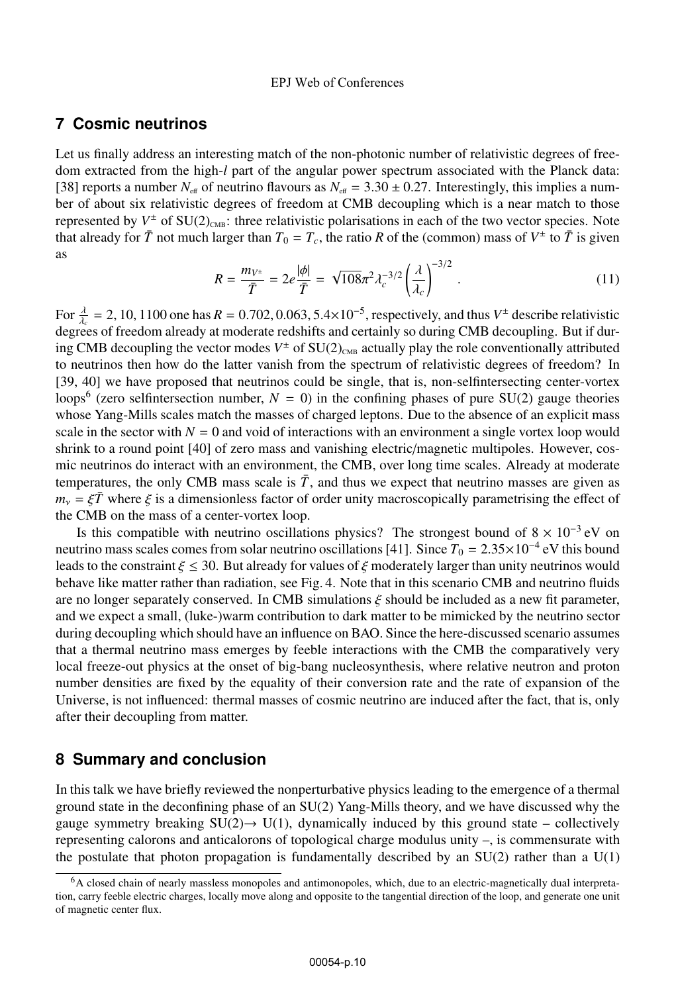# **7 Cosmic neutrinos**

Let us finally address an interesting match of the non-photonic number of relativistic degrees of freedom extracted from the high-*l* part of the angular power spectrum associated with the Planck data: [38] reports a number  $N_{\text{eff}}$  of neutrino flavours as  $N_{\text{eff}} = 3.30 \pm 0.27$ . Interestingly, this implies a number of about six relativistic degrees of freedom at CMB decoupling which is a near match to those represented by  $V^{\pm}$  of SU(2)<sub>CMB</sub>: three relativistic polarisations in each of the two vector species. Note that already for  $\bar{T}$  not much larger than  $T_0 = T_c$ , the ratio *R* of the (common) mass of  $V^{\pm}$  to  $\bar{T}$  is given as

$$
R = \frac{m_{V^{\pm}}}{\bar{T}} = 2e^{\frac{|\phi|}{\bar{T}}} = \sqrt{108}\pi^2 \lambda_c^{-3/2} \left(\frac{\lambda}{\lambda_c}\right)^{-3/2}.
$$
 (11)

For  $\frac{\lambda}{\lambda_c} = 2$ , 10, 1100 one has  $R = 0.702, 0.063, 5.4 \times 10^{-5}$ , respectively, and thus  $V^{\pm}$  describe relativistic degrees of freedom already at moderate redshifts and certainly so during CMB decoupling. But if during CMB decoupling the vector modes  $V^{\pm}$  of SU(2)<sub>CMB</sub> actually play the role conventionally attributed to neutrinos then how do the latter vanish from the spectrum of relativistic degrees of freedom? In [39, 40] we have proposed that neutrinos could be single, that is, non-selfintersecting center-vortex loops<sup>6</sup> (zero selfintersection number,  $N = 0$ ) in the confining phases of pure SU(2) gauge theories whose Yang-Mills scales match the masses of charged leptons. Due to the absence of an explicit mass scale in the sector with  $N = 0$  and void of interactions with an environment a single vortex loop would shrink to a round point [40] of zero mass and vanishing electric/magnetic multipoles. However, cosmic neutrinos do interact with an environment, the CMB, over long time scales. Already at moderate temperatures, the only CMB mass scale is  $\bar{T}$ , and thus we expect that neutrino masses are given as  $m<sub>v</sub> = \xi \bar{T}$  where  $\xi$  is a dimensionless factor of order unity macroscopically parametrising the effect of the CMB on the mass of a center-vortex loop.

Is this compatible with neutrino oscillations physics? The strongest bound of  $8 \times 10^{-3}$  eV on neutrino mass scales comes from solar neutrino oscillations [41]. Since  $T_0 = 2.35 \times 10^{-4}$  eV this bound leads to the constraint  $\xi \le 30$ . But already for values of  $\xi$  moderately larger than unity neutrinos would behave like matter rather than radiation, see Fig. 4. Note that in this scenario CMB and neutrino fluids are no longer separately conserved. In CMB simulations  $\xi$  should be included as a new fit parameter, and we expect a small, (luke-)warm contribution to dark matter to be mimicked by the neutrino sector during decoupling which should have an influence on BAO. Since the here-discussed scenario assumes that a thermal neutrino mass emerges by feeble interactions with the CMB the comparatively very local freeze-out physics at the onset of big-bang nucleosynthesis, where relative neutron and proton number densities are fixed by the equality of their conversion rate and the rate of expansion of the Universe, is not influenced: thermal masses of cosmic neutrino are induced after the fact, that is, only after their decoupling from matter.

### **8 Summary and conclusion**

In this talk we have briefly reviewed the nonperturbative physics leading to the emergence of a thermal ground state in the deconfining phase of an SU(2) Yang-Mills theory, and we have discussed why the gauge symmetry breaking  $SU(2) \rightarrow U(1)$ , dynamically induced by this ground state – collectively representing calorons and anticalorons of topological charge modulus unity –, is commensurate with the postulate that photon propagation is fundamentally described by an  $SU(2)$  rather than a  $U(1)$ 

<sup>6</sup>A closed chain of nearly massless monopoles and antimonopoles, which, due to an electric-magnetically dual interpretation, carry feeble electric charges, locally move along and opposite to the tangential direction of the loop, and generate one unit of magnetic center flux.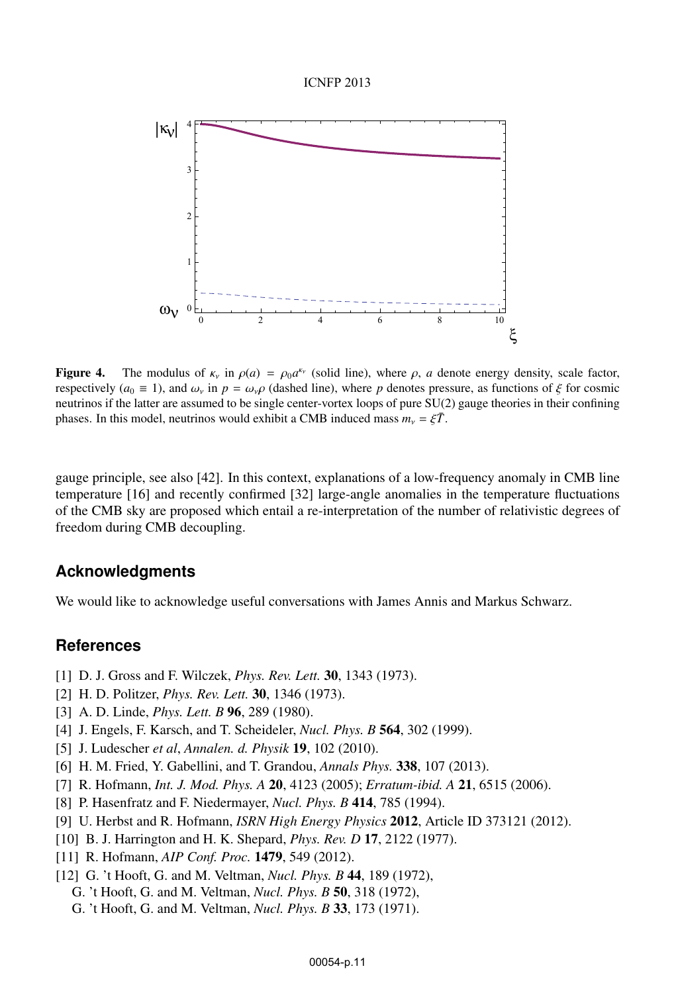#### ICNFP 2013



Figure 4. The modulus of  $\kappa_v$  in  $\rho(a) = \rho_0 a^{\kappa_v}$  (solid line), where  $\rho$ , *a* denote energy density, scale factor, respectively ( $a_0 \equiv 1$ ), and  $\omega_y$  in  $p = \omega_y \rho$  (dashed line), where *p* denotes pressure, as functions of  $\xi$  for cosmic neutrinos if the latter are assumed to be single center-vortex loops of pure SU(2) gauge theories in their confining phases. In this model, neutrinos would exhibit a CMB induced mass  $m_v = \xi \overline{T}$ .

gauge principle, see also [42]. In this context, explanations of a low-frequency anomaly in CMB line temperature [16] and recently confirmed [32] large-angle anomalies in the temperature fluctuations of the CMB sky are proposed which entail a re-interpretation of the number of relativistic degrees of freedom during CMB decoupling.

### **Acknowledgments**

We would like to acknowledge useful conversations with James Annis and Markus Schwarz.

# **References**

- [1] D. J. Gross and F. Wilczek, *Phys. Rev. Lett.* 30, 1343 (1973).
- [2] H. D. Politzer, *Phys. Rev. Lett.* 30, 1346 (1973).
- [3] A. D. Linde, *Phys. Lett. B* 96, 289 (1980).
- [4] J. Engels, F. Karsch, and T. Scheideler, *Nucl. Phys. B* 564, 302 (1999).
- [5] J. Ludescher *et al*, *Annalen. d. Physik* 19, 102 (2010).
- [6] H. M. Fried, Y. Gabellini, and T. Grandou, *Annals Phys.* 338, 107 (2013).
- [7] R. Hofmann, *Int. J. Mod. Phys. A* 20, 4123 (2005); *Erratum-ibid. A* 21, 6515 (2006).
- [8] P. Hasenfratz and F. Niedermayer, *Nucl. Phys. B* 414, 785 (1994).
- [9] U. Herbst and R. Hofmann, *ISRN High Energy Physics* 2012, Article ID 373121 (2012).
- [10] B. J. Harrington and H. K. Shepard, *Phys. Rev. D* 17, 2122 (1977).
- [11] R. Hofmann, *AIP Conf. Proc.* 1479, 549 (2012).
- [12] G. 't Hooft, G. and M. Veltman, *Nucl. Phys. B* 44, 189 (1972),
	- G. 't Hooft, G. and M. Veltman, *Nucl. Phys. B* 50, 318 (1972),
	- G. 't Hooft, G. and M. Veltman, *Nucl. Phys. B* 33, 173 (1971).